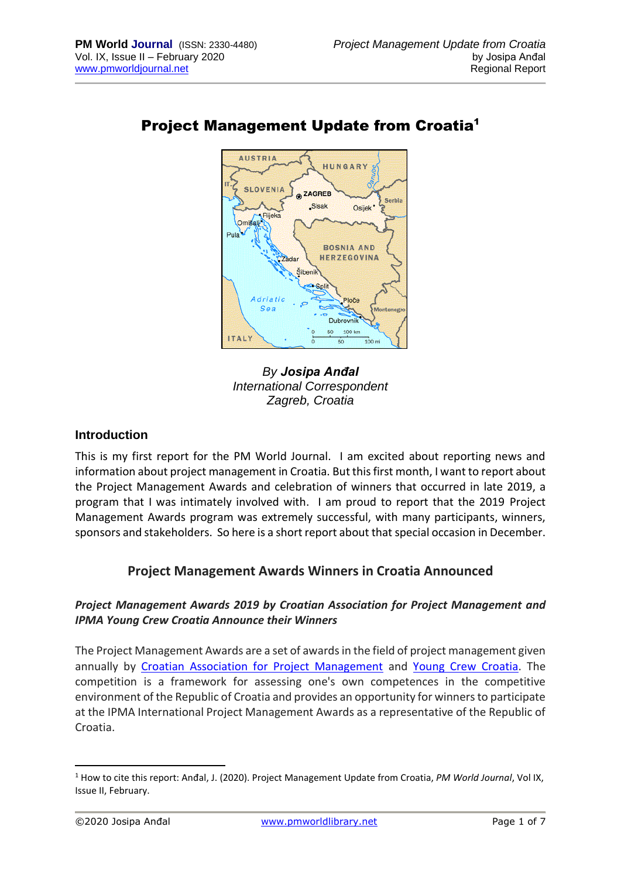

# Project Management Update from Croatia<sup>1</sup>



## **Introduction**

This is my first report for the PM World Journal. I am excited about reporting news and information about project management in Croatia. But this first month, I want to report about the Project Management Awards and celebration of winners that occurred in late 2019, a program that I was intimately involved with. I am proud to report that the 2019 Project Management Awards program was extremely successful, with many participants, winners, sponsors and stakeholders. So here is a short report about that special occasion in December.

## **Project Management Awards Winners in Croatia Announced**

### *Project Management Awards 2019 by Croatian Association for Project Management and IPMA Young Crew Croatia Announce their Winners*

The Project Management Awards are a set of awards in the field of project management given annually by [Croatian Association for Project Management](http://capm.hr/) and [Young Crew Croatia.](http://youngcrew.hr/) The competition is a framework for assessing one's own competences in the competitive environment of the Republic of Croatia and provides an opportunity for winners to participate at the IPMA International Project Management Awards as a representative of the Republic of Croatia.

<sup>1</sup> How to cite this report: Anđal, J. (2020). Project Management Update from Croatia, *PM World Journal*, Vol IX, Issue II, February.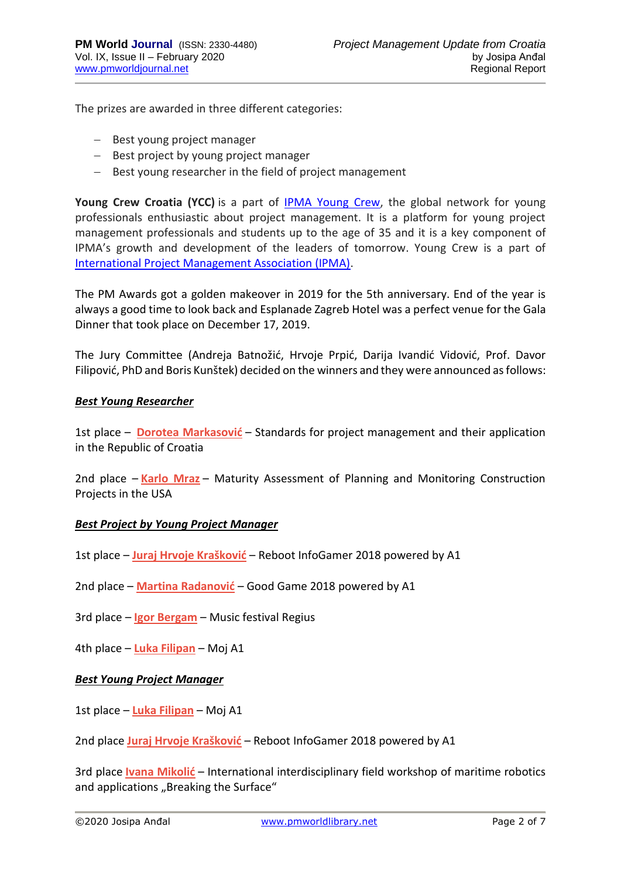The prizes are awarded in three different categories:

- − Best young project manager
- − Best project by young project manager
- − Best young researcher in the field of project management

**Young Crew Croatia (YCC)** is a part of IPMA [Young Crew,](https://www.ipma.world/ipma-young-crew/) the global network for young professionals enthusiastic about project management. It is a platform for young project management professionals and students up to the age of 35 and it is a key component of IPMA's growth and development of the leaders of tomorrow. Young Crew is a part of [International Project Management Association \(IPMA\).](https://www.ipma.world/)

The PM Awards got a golden makeover in 2019 for the 5th anniversary. End of the year is always a good time to look back and Esplanade Zagreb Hotel was a perfect venue for the Gala Dinner that took place on December 17, 2019.

The Jury Committee (Andreja Batnožić, Hrvoje Prpić, Darija Ivandić Vidović, Prof. Davor Filipović, PhD and Boris Kunštek) decided on the winners and they were announced as follows:

#### *Best Young Researcher*

1st place – **[Dorotea Markasović](https://www.linkedin.com/in/ACoAABQipSgBFgkobQTe76FLfqvoaDGSIx6SP4Y/)** – Standards for project management and their application in the Republic of Croatia

2nd place – **[Karlo Mraz](https://www.linkedin.com/in/ACoAABYEHDgB3Npp-jWXKS71DgrIzP2miv1rTWg/)** – Maturity Assessment of Planning and Monitoring Construction Projects in the USA

#### *Best Project by Young Project Manager*

1st place – **[Juraj Hrvoje Krašković](https://www.linkedin.com/in/ACoAABYhQKABzxL7V4OlKfw9o8eZB-RhapqwbGk/)** – Reboot InfoGamer 2018 powered by A1

2nd place – **[Martina Radanović](https://www.linkedin.com/in/ACoAABKqjdcBzEdhG7cY6ijKJRi10KxDSPxaAsc/)** – Good Game 2018 powered by A1

3rd place – **[Igor Bergam](https://www.linkedin.com/in/ACoAAC4VjLsBRST4VZwagPxJBgY85jMJuPQO55A/)** – Music festival Regius

4th place – **[Luka Filipan](https://www.linkedin.com/in/ACoAABTAfI8Bp-32zVXDOINJ3R5nDq0rzrYq6pA/)** – Moj A1

#### *Best Young Project Manager*

1st place – **[Luka Filipan](https://www.linkedin.com/in/ACoAABTAfI8Bp-32zVXDOINJ3R5nDq0rzrYq6pA/)** – Moj A1

2nd place **Juraj Hrvoj[e Krašković](https://www.linkedin.com/in/ACoAABYhQKABzxL7V4OlKfw9o8eZB-RhapqwbGk/)** – Reboot InfoGamer 2018 powered by A1

3rd place **[Ivana Mikolić](https://www.linkedin.com/in/ACoAAAr-63IBjOn8AWoNzLwoAx2uRGakdO4JKjU/)** – International interdisciplinary field workshop of maritime robotics and applications "Breaking the Surface"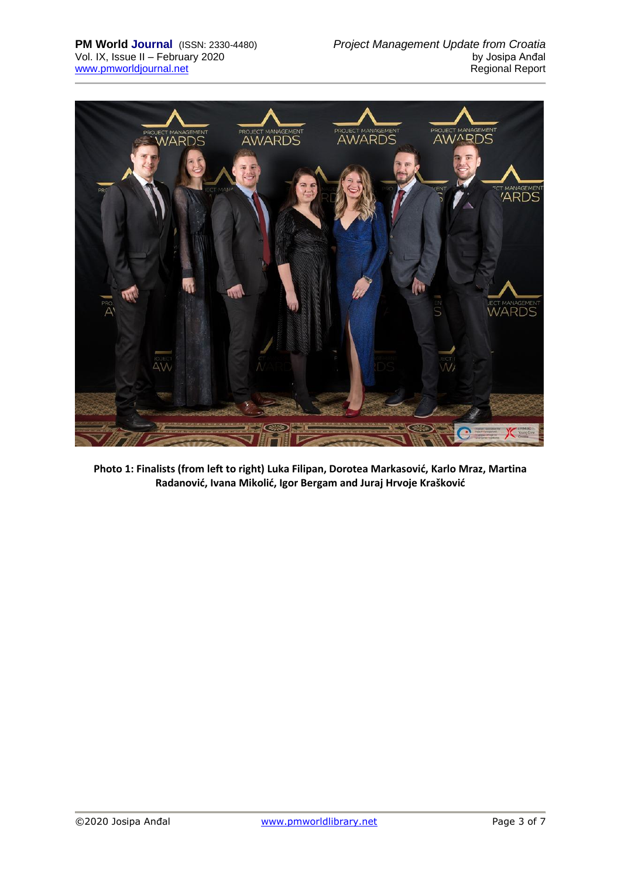

**Photo 1: Finalists (from left to right) Luka Filipan, Dorotea Markasović, Karlo Mraz, Martina Radanović, Ivana Mikolić, Igor Bergam and Juraj Hrvoje Krašković**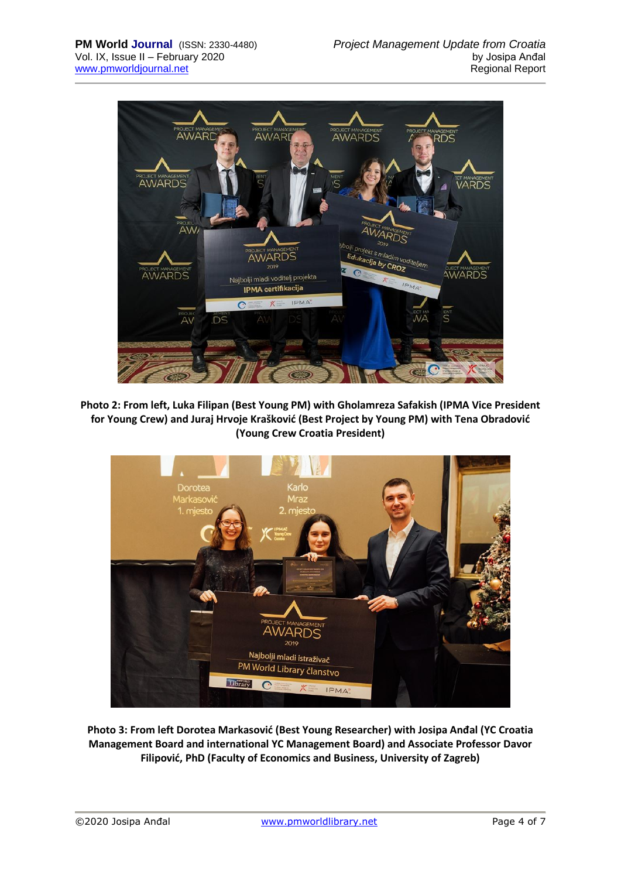

**Photo 2: From left, Luka Filipan (Best Young PM) with Gholamreza Safakish (IPMA Vice President for Young Crew) and Juraj Hrvoje Krašković (Best Project by Young PM) with Tena Obradović (Young Crew Croatia President)**



**Photo 3: From left Dorotea Markasović (Best Young Researcher) with Josipa Anđal (YC Croatia Management Board and international YC Management Board) and Associate Professor Davor Filipović, PhD (Faculty of Economics and Business, University of Zagreb)**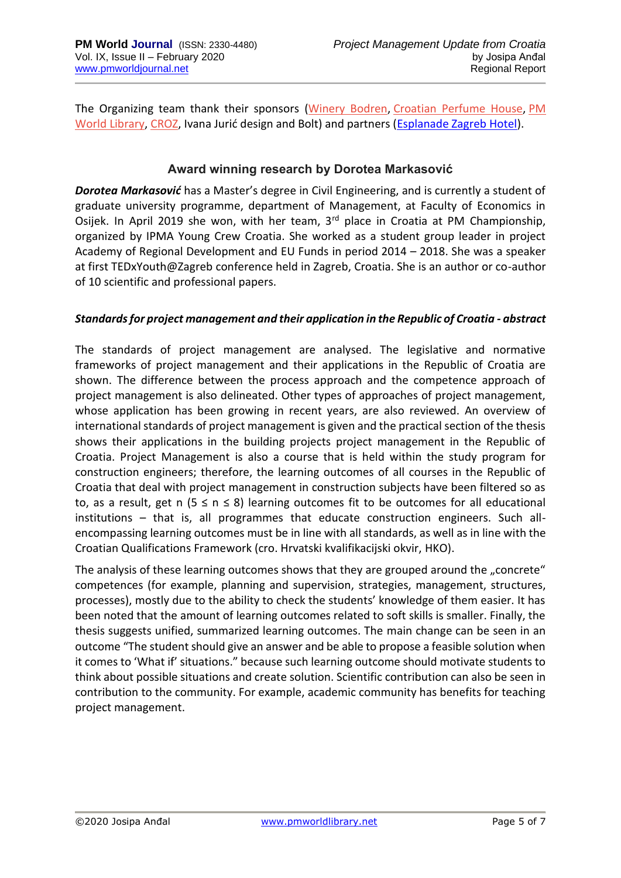The Organizing team thank their sponsors [\(Winery Bodren,](https://bodren.hr/?lang=en) [Croatian Perfume House,](https://www.croatianperfumehouse.eu.hr/en/) [PM](https://pmworldlibrary.net/)  [World Library,](https://pmworldlibrary.net/) [CROZ](https://croz.net/), Ivana Jurić design and Bolt) and partners ([Esplanade Zagreb Hotel\)](https://www.esplanade.hr/).

## **Award winning research by Dorotea Markasović**

*Dorotea Markasović* has a Master's degree in Civil Engineering, and is currently a student of graduate university programme, department of Management, at Faculty of Economics in Osijek. In April 2019 she won, with her team, 3<sup>rd</sup> place in Croatia at PM Championship, organized by IPMA Young Crew Croatia. She worked as a student group leader in project Academy of Regional Development and EU Funds in period 2014 – 2018. She was a speaker at first TEDxYouth@Zagreb conference held in Zagreb, Croatia. She is an author or co-author of 10 scientific and professional papers.

### *Standards for project management and their application in the Republic of Croatia - abstract*

The standards of project management are analysed. The legislative and normative frameworks of project management and their applications in the Republic of Croatia are shown. The difference between the process approach and the competence approach of project management is also delineated. Other types of approaches of project management, whose application has been growing in recent years, are also reviewed. An overview of international standards of project management is given and the practical section of the thesis shows their applications in the building projects project management in the Republic of Croatia. Project Management is also a course that is held within the study program for construction engineers; therefore, the learning outcomes of all courses in the Republic of Croatia that deal with project management in construction subjects have been filtered so as to, as a result, get n ( $5 \le n \le 8$ ) learning outcomes fit to be outcomes for all educational institutions – that is, all programmes that educate construction engineers. Such allencompassing learning outcomes must be in line with all standards, as well as in line with the Croatian Qualifications Framework (cro. Hrvatski kvalifikacijski okvir, HKO).

The analysis of these learning outcomes shows that they are grouped around the "concrete" competences (for example, planning and supervision, strategies, management, structures, processes), mostly due to the ability to check the students' knowledge of them easier. It has been noted that the amount of learning outcomes related to soft skills is smaller. Finally, the thesis suggests unified, summarized learning outcomes. The main change can be seen in an outcome "The student should give an answer and be able to propose a feasible solution when it comes to 'What if' situations." because such learning outcome should motivate students to think about possible situations and create solution. Scientific contribution can also be seen in contribution to the community. For example, academic community has benefits for teaching project management.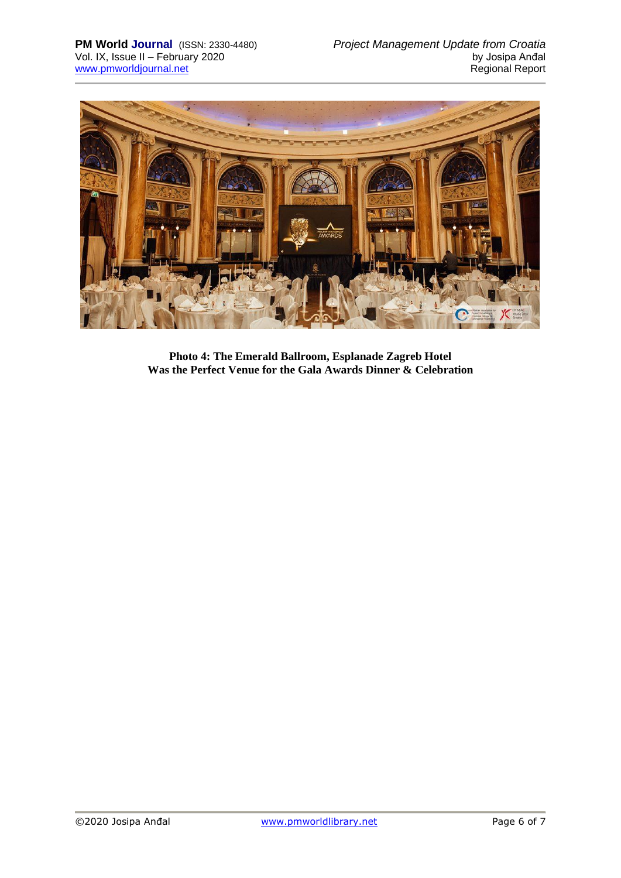

**Photo 4: The Emerald Ballroom, Esplanade Zagreb Hotel Was the Perfect Venue for the Gala Awards Dinner & Celebration**